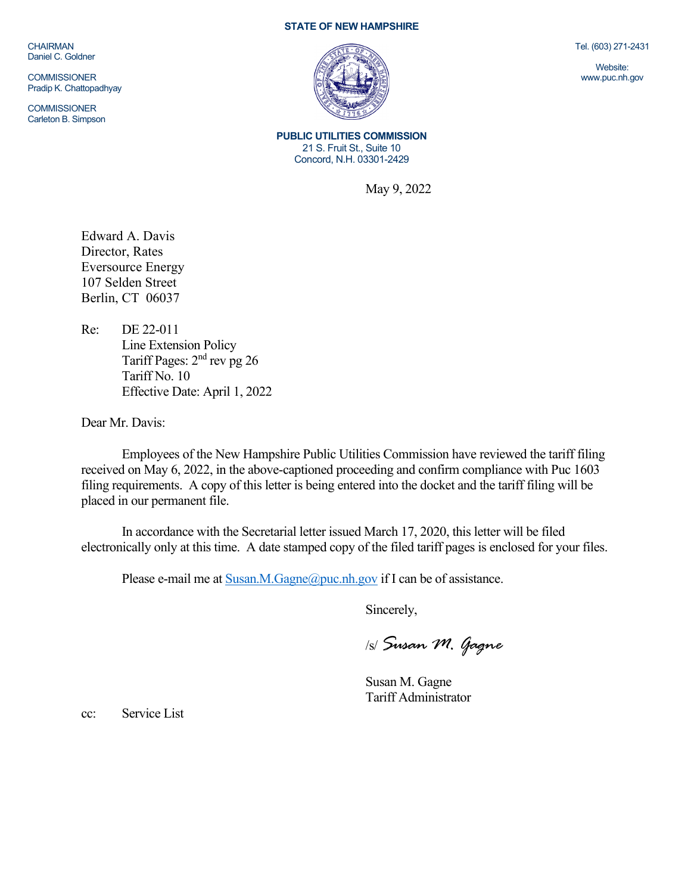**CHAIRMAN** Daniel C. Goldner

**COMMISSIONER** Pradip K. Chattopadhyay

**COMMISSIONER** Carleton B. Simpson

## **STATE OF NEW HAMPSHIRE**



**PUBLIC UTILITIES COMMISSION** 21 S. Fruit St., Suite 10 Concord, N.H. 03301-2429

May 9, 2022

Edward A. Davis Director, Rates Eversource Energy 107 Selden Street Berlin, CT 06037

Re: DE 22-011 Line Extension Policy Tariff Pages: 2nd rev pg 26 Tariff No. 10 Effective Date: April 1, 2022

Dear Mr. Davis:

Employees of the New Hampshire Public Utilities Commission have reviewed the tariff filing received on May 6, 2022, in the above-captioned proceeding and confirm compliance with Puc 1603 filing requirements. A copy of this letter is being entered into the docket and the tariff filing will be placed in our permanent file.

In accordance with the Secretarial letter issued March 17, 2020, this letter will be filed electronically only at this time. A date stamped copy of the filed tariff pages is enclosed for your files.

Please e-mail me a[t Susan.M.Gagne@puc.nh.gov](mailto:Susan.M.Gagne@puc.nh.gov) if I can be of assistance.

Sincerely,

/s/ *Susan M. Gagne*

Susan M. Gagne Tariff Administrator

cc: Service List

Tel. (603) 271-2431

Website: www.puc.nh.gov